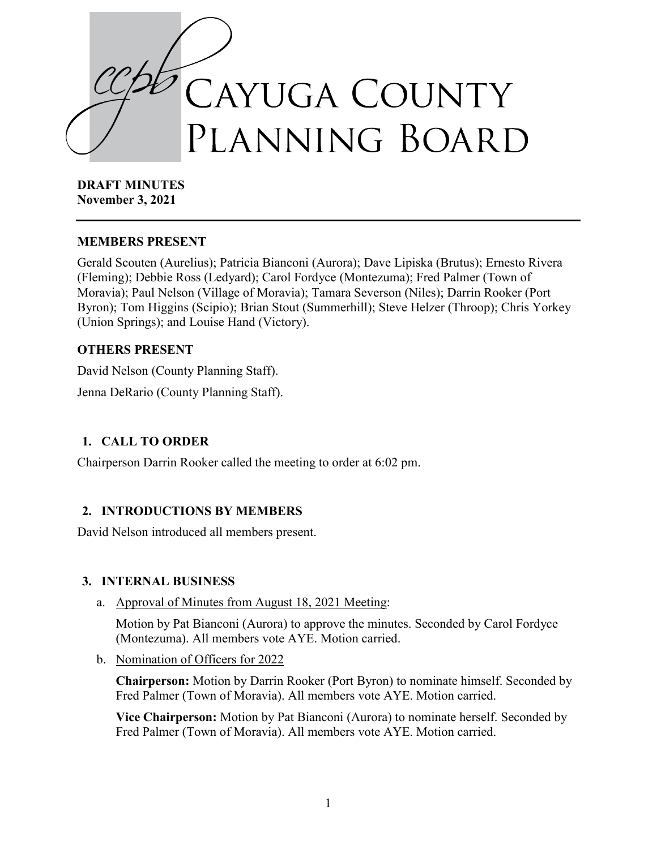

**DRAFT MINUTES November 3, 2021**

### **MEMBERS PRESENT**

Gerald Scouten (Aurelius); Patricia Bianconi (Aurora); Dave Lipiska (Brutus); Ernesto Rivera (Fleming); Debbie Ross (Ledyard); Carol Fordyce (Montezuma); Fred Palmer (Town of Moravia); Paul Nelson (Village of Moravia); Tamara Severson (Niles); Darrin Rooker (Port Byron); Tom Higgins (Scipio); Brian Stout (Summerhill); Steve Helzer (Throop); Chris Yorkey (Union Springs); and Louise Hand (Victory).

## **OTHERS PRESENT**

David Nelson (County Planning Staff). Jenna DeRario (County Planning Staff).

### **1. CALL TO ORDER**

Chairperson Darrin Rooker called the meeting to order at 6:02 pm.

### **2. INTRODUCTIONS BY MEMBERS**

David Nelson introduced all members present.

### **3. INTERNAL BUSINESS**

a. Approval of Minutes from August 18, 2021 Meeting:

Motion by Pat Bianconi (Aurora) to approve the minutes. Seconded by Carol Fordyce (Montezuma). All members vote AYE. Motion carried.

b. Nomination of Officers for 2022

**Chairperson:** Motion by Darrin Rooker (Port Byron) to nominate himself. Seconded by Fred Palmer (Town of Moravia). All members vote AYE. Motion carried.

**Vice Chairperson:** Motion by Pat Bianconi (Aurora) to nominate herself. Seconded by Fred Palmer (Town of Moravia). All members vote AYE. Motion carried.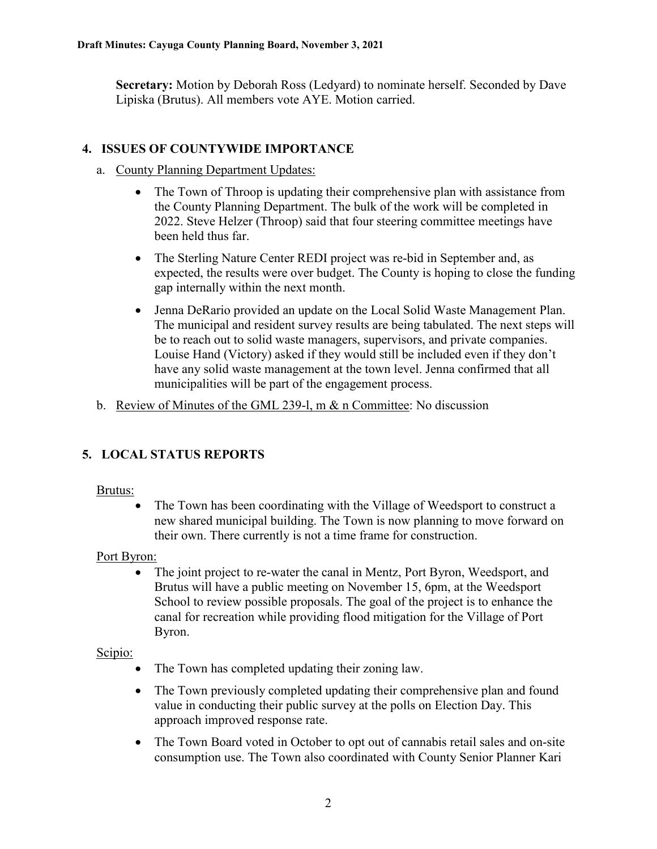**Secretary:** Motion by Deborah Ross (Ledyard) to nominate herself. Seconded by Dave Lipiska (Brutus). All members vote AYE. Motion carried.

### **4. ISSUES OF COUNTYWIDE IMPORTANCE**

- a. County Planning Department Updates:
	- The Town of Throop is updating their comprehensive plan with assistance from the County Planning Department. The bulk of the work will be completed in 2022. Steve Helzer (Throop) said that four steering committee meetings have been held thus far.
	- The Sterling Nature Center REDI project was re-bid in September and, as expected, the results were over budget. The County is hoping to close the funding gap internally within the next month.
	- Jenna DeRario provided an update on the Local Solid Waste Management Plan. The municipal and resident survey results are being tabulated. The next steps will be to reach out to solid waste managers, supervisors, and private companies. Louise Hand (Victory) asked if they would still be included even if they don't have any solid waste management at the town level. Jenna confirmed that all municipalities will be part of the engagement process.
- b. Review of Minutes of the GML 239-l, m & n Committee: No discussion

# **5. LOCAL STATUS REPORTS**

### Brutus:

• The Town has been coordinating with the Village of Weedsport to construct a new shared municipal building. The Town is now planning to move forward on their own. There currently is not a time frame for construction.

### Port Byron:

• The joint project to re-water the canal in Mentz, Port Byron, Weedsport, and Brutus will have a public meeting on November 15, 6pm, at the Weedsport School to review possible proposals. The goal of the project is to enhance the canal for recreation while providing flood mitigation for the Village of Port Byron.

### Scipio:

- The Town has completed updating their zoning law.
- The Town previously completed updating their comprehensive plan and found value in conducting their public survey at the polls on Election Day. This approach improved response rate.
- The Town Board voted in October to opt out of cannabis retail sales and on-site consumption use. The Town also coordinated with County Senior Planner Kari